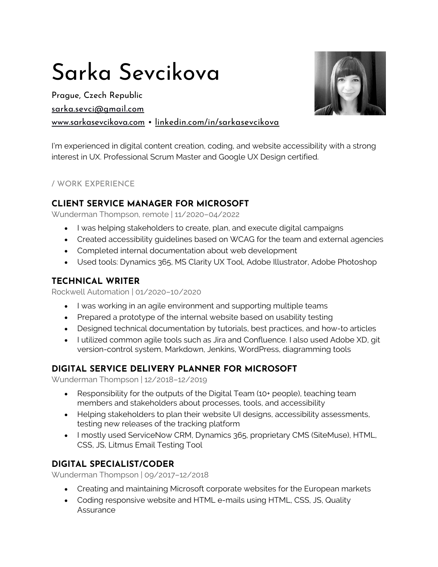# Sarka Sevcikova

Prague, Czech Republic sarka.sevci@gmail.com [www.sarkasevcikova.com](https://www.sarkasevcikova.com/) • [linkedin.com/in/sarkasevcikova](https://cz.linkedin.com/in/sarkasevcikova)

I'm experienced in digital content creation, coding, and website accessibility with a strong interest in UX. Professional Scrum Master and Google UX Design certified.

# / WORK EXPERIENCE

# **CLIENT SERVICE MANAGER FOR MICROSOFT**

Wunderman Thompson, remote | 11[/2020–](https://www.linkedin.com/company/rockwell-automation/?lipi=urn%3Ali%3Apage%3Ad_flagship3_profile_view_base%3BflXj5%2FhSS%2FOuIbMLcl4k%2Bg%3D%3D&licu=urn%3Ali%3Acontrol%3Ad_flagship3_profile_view_base-background_details_company)04/2022

- I was helping stakeholders to create, plan, and execute digital campaigns
- Created accessibility guidelines based on WCAG for the team and external agencies
- Completed internal documentation about web development
- Used tools: Dynamics 365, MS Clarity UX Tool, Adobe Illustrator, Adobe Photoshop

# **TECHNICAL WRITER**

Rockwell Automation | 01/2020–10/2020

- I was working in an agile environment and supporting multiple teams
- Prepared a prototype of the internal website based on usability testing
- Designed technical documentation by tutorials, best practices, and how-to articles
- I utilized common agile tools such as Jira and Confluence. I also used Adobe XD, git version-control system, Markdown, Jenkins, WordPress, diagramming tools

# **DIGITAL SERVICE DELIVERY PLANNER FOR MICROSOFT**

Wunderman Thompson | 12/2018–12/2019

- Responsibility for the outputs of the Digital Team (10+ people), teaching team members and stakeholders about processes, tools, and accessibility
- Helping stakeholders to plan their website UI designs, accessibility assessments, testing new releases of the tracking platform
- I mostly used ServiceNow CRM, Dynamics 365, proprietary CMS (SiteMuse), HTML, CSS, JS, Litmus Email Testing Tool

# **DIGITAL SPECIALIST/CODER**

Wunderman Thompson | 09/2017–12/2018

- Creating and maintaining Microsoft corporate websites for the European markets
- Coding responsive website and HTML e-mails using HTML, CSS, JS, Quality Assurance